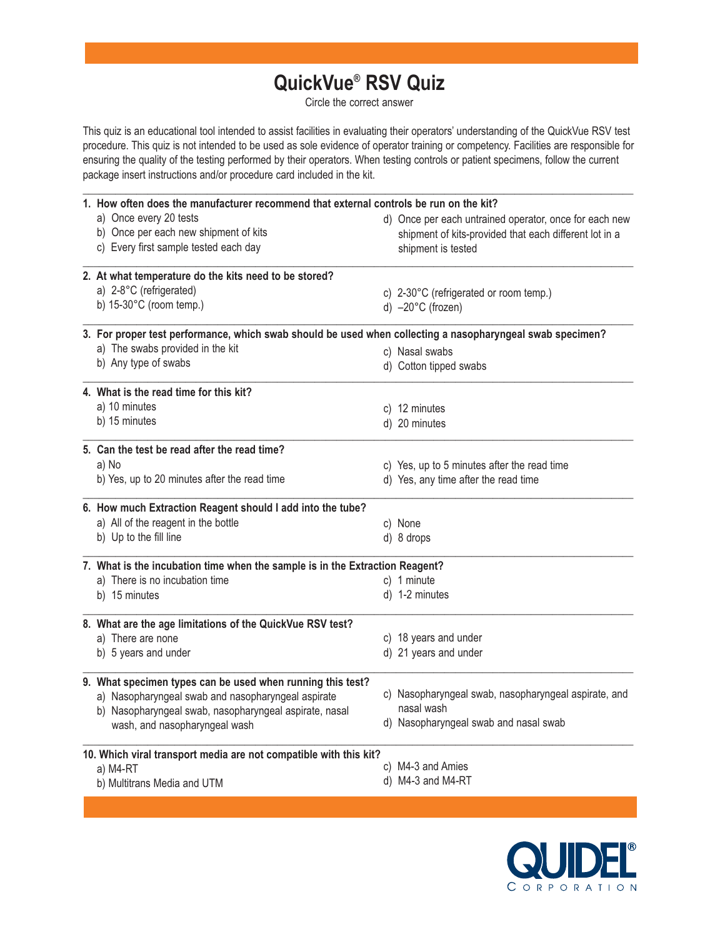## **QuickVue® RSV Quiz**

Circle the correct answer

This quiz is an educational tool intended to assist facilities in evaluating their operators' understanding of the QuickVue RSV test procedure. This quiz is not intended to be used as sole evidence of operator training or competency. Facilities are responsible for ensuring the quality of the testing performed by their operators. When testing controls or patient specimens, follow the current package insert instructions and/or procedure card included in the kit.

| 1. How often does the manufacturer recommend that external controls be run on the kit?                    |  |                                                        |  |  |
|-----------------------------------------------------------------------------------------------------------|--|--------------------------------------------------------|--|--|
| a) Once every 20 tests                                                                                    |  | d) Once per each untrained operator, once for each new |  |  |
| b) Once per each new shipment of kits                                                                     |  | shipment of kits-provided that each different lot in a |  |  |
| c) Every first sample tested each day                                                                     |  | shipment is tested                                     |  |  |
| 2. At what temperature do the kits need to be stored?                                                     |  |                                                        |  |  |
| a) 2-8°C (refrigerated)                                                                                   |  | c) 2-30°C (refrigerated or room temp.)                 |  |  |
| b) $15-30^{\circ}$ C (room temp.)                                                                         |  | d) $-20^{\circ}$ C (frozen)                            |  |  |
| 3. For proper test performance, which swab should be used when collecting a nasopharyngeal swab specimen? |  |                                                        |  |  |
| a) The swabs provided in the kit                                                                          |  | c) Nasal swabs                                         |  |  |
| b) Any type of swabs                                                                                      |  | d) Cotton tipped swabs                                 |  |  |
| 4. What is the read time for this kit?                                                                    |  |                                                        |  |  |
| a) 10 minutes                                                                                             |  | c) 12 minutes                                          |  |  |
| b) 15 minutes                                                                                             |  | d) 20 minutes                                          |  |  |
| 5. Can the test be read after the read time?                                                              |  |                                                        |  |  |
| a) No                                                                                                     |  | c) Yes, up to 5 minutes after the read time            |  |  |
| b) Yes, up to 20 minutes after the read time                                                              |  | d) Yes, any time after the read time                   |  |  |
| 6. How much Extraction Reagent should I add into the tube?                                                |  |                                                        |  |  |
| a) All of the reagent in the bottle                                                                       |  | c) None                                                |  |  |
| b) Up to the fill line                                                                                    |  | d) 8 drops                                             |  |  |
| 7. What is the incubation time when the sample is in the Extraction Reagent?                              |  |                                                        |  |  |
| a) There is no incubation time                                                                            |  | c) 1 minute                                            |  |  |
| b) 15 minutes                                                                                             |  | d) 1-2 minutes                                         |  |  |
| 8. What are the age limitations of the QuickVue RSV test?                                                 |  |                                                        |  |  |
| a) There are none                                                                                         |  | c) 18 years and under                                  |  |  |
| b) 5 years and under                                                                                      |  | d) 21 years and under                                  |  |  |
| 9. What specimen types can be used when running this test?                                                |  |                                                        |  |  |
| a) Nasopharyngeal swab and nasopharyngeal aspirate                                                        |  | c) Nasopharyngeal swab, nasopharyngeal aspirate, and   |  |  |
| b) Nasopharyngeal swab, nasopharyngeal aspirate, nasal<br>wash, and nasopharyngeal wash                   |  | nasal wash<br>d) Nasopharyngeal swab and nasal swab    |  |  |
|                                                                                                           |  |                                                        |  |  |
| 10. Which viral transport media are not compatible with this kit?<br>a) M4-RT                             |  | c) M4-3 and Amies                                      |  |  |
| b) Multitrans Media and UTM                                                                               |  | d) M4-3 and M4-RT                                      |  |  |
|                                                                                                           |  |                                                        |  |  |